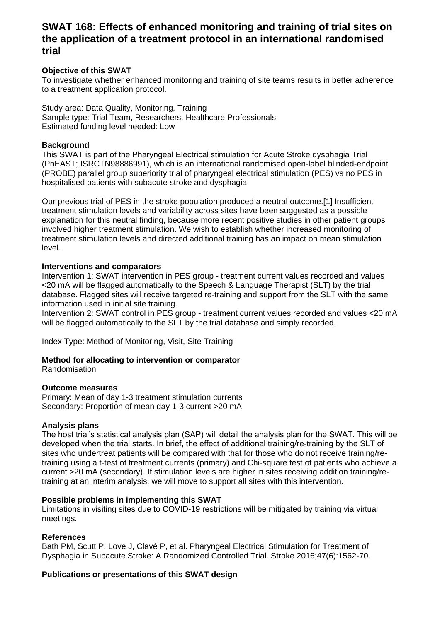# **SWAT 168: Effects of enhanced monitoring and training of trial sites on the application of a treatment protocol in an international randomised trial**

#### **Objective of this SWAT**

To investigate whether enhanced monitoring and training of site teams results in better adherence to a treatment application protocol.

Study area: Data Quality, Monitoring, Training Sample type: Trial Team, Researchers, Healthcare Professionals Estimated funding level needed: Low

#### **Background**

This SWAT is part of the Pharyngeal Electrical stimulation for Acute Stroke dysphagia Trial (PhEAST; ISRCTN98886991), which is an international randomised open-label blinded-endpoint (PROBE) parallel group superiority trial of pharyngeal electrical stimulation (PES) vs no PES in hospitalised patients with subacute stroke and dysphagia.

Our previous trial of PES in the stroke population produced a neutral outcome.[1] Insufficient treatment stimulation levels and variability across sites have been suggested as a possible explanation for this neutral finding, because more recent positive studies in other patient groups involved higher treatment stimulation. We wish to establish whether increased monitoring of treatment stimulation levels and directed additional training has an impact on mean stimulation level.

#### **Interventions and comparators**

Intervention 1: SWAT intervention in PES group - treatment current values recorded and values <20 mA will be flagged automatically to the Speech & Language Therapist (SLT) by the trial database. Flagged sites will receive targeted re-training and support from the SLT with the same information used in initial site training.

Intervention 2: SWAT control in PES group - treatment current values recorded and values <20 mA will be flagged automatically to the SLT by the trial database and simply recorded.

Index Type: Method of Monitoring, Visit, Site Training

### **Method for allocating to intervention or comparator**

Randomisation

#### **Outcome measures**

Primary: Mean of day 1-3 treatment stimulation currents Secondary: Proportion of mean day 1-3 current >20 mA

#### **Analysis plans**

The host trial's statistical analysis plan (SAP) will detail the analysis plan for the SWAT. This will be developed when the trial starts. In brief, the effect of additional training/re-training by the SLT of sites who undertreat patients will be compared with that for those who do not receive training/retraining using a t-test of treatment currents (primary) and Chi-square test of patients who achieve a current >20 mA (secondary). If stimulation levels are higher in sites receiving addition training/retraining at an interim analysis, we will move to support all sites with this intervention.

#### **Possible problems in implementing this SWAT**

Limitations in visiting sites due to COVID-19 restrictions will be mitigated by training via virtual meetings.

#### **References**

Bath PM, Scutt P, Love J, Clavé P, et al. Pharyngeal Electrical Stimulation for Treatment of Dysphagia in Subacute Stroke: A Randomized Controlled Trial. Stroke 2016;47(6):1562-70.

#### **Publications or presentations of this SWAT design**